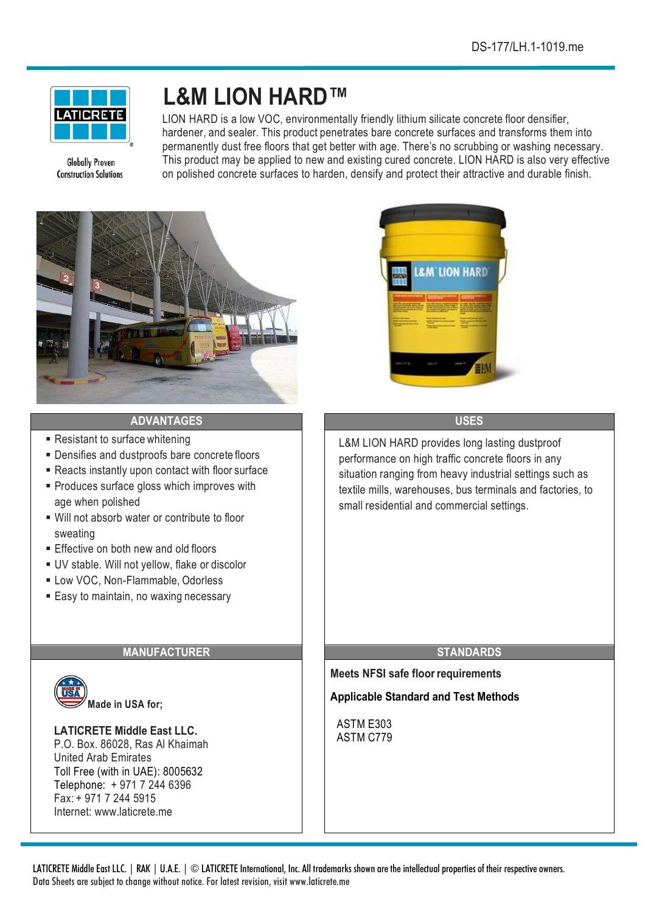

**Globally Proven Construction Solutions** 

# **L&M LION HARD™**

LION HARD is a low VOC, environmentally friendly lithium silicate concrete floor densifier, hardener, and sealer. This product penetrates bare concrete surfaces and transforms them into permanently dust free floors that get better with age. There's no scrubbing or washing necessary. This product may be applied to new and existing cured concrete. LION HARD is also very effective on polished concrete surfaces to harden, densify and protect their attractive and durable finish.



# **ADVANTAGES USES**

- Resistant to surface whitening
- Densifies and dustproofs bare concrete floors
- Reacts instantly upon contact with floor surface
- § Produces surface gloss which improves with age when polished
- Will not absorb water or contribute to floor sweating
- Effective on both new and old floors
- UV stable. Will not yellow, flake or discolor
- Low VOC, Non-Flammable, Odorless
- Easy to maintain, no waxing necessary

# **MANUFACTURER STANDARDS**



#### **LATICRETE Middle East LLC.** P.O. Box. 86028, Ras Al Khaimah

United Arab Emirates Toll Free (with in UAE): 8005632 Telephone: + 971 7 244 6396 Fax: + 971 7 244 5915 Internet: www.laticrete.me



L&M LION HARD provides long lasting dustproof performance on high traffic concrete floors in any situation ranging from heavy industrial settings such as textile mills, warehouses, bus terminals and factories, to small residential and commercial settings.

**Meets NFSI safe floorrequirements**

**Applicable Standard and Test Methods**

ASTM E303 ASTM C779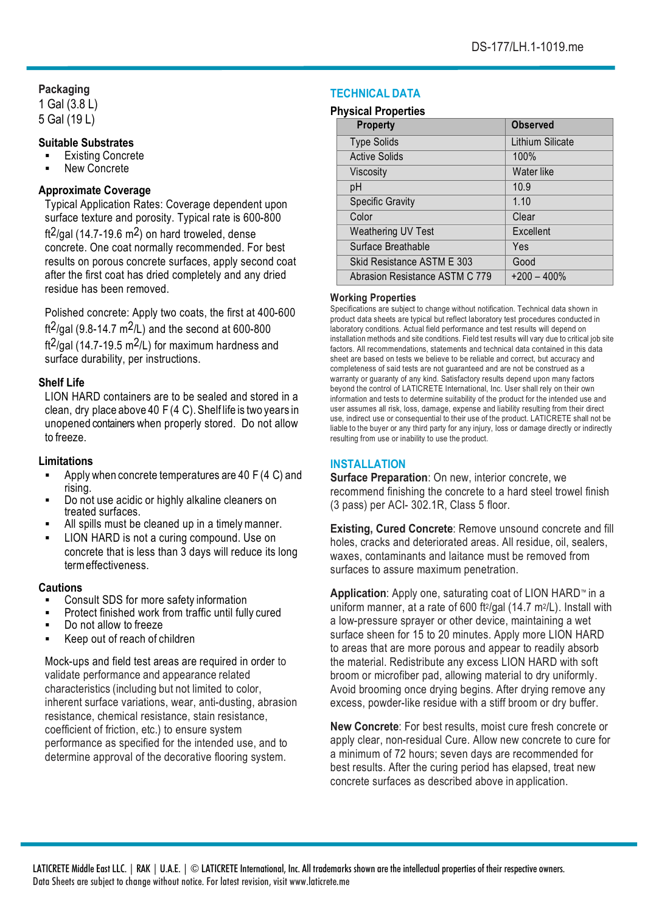# **Packaging**

1 Gal (3.8 L) 5 Gal (19 L)

# **Suitable Substrates**

- Existing Concrete
- § New Concrete

# **Approximate Coverage**

Typical Application Rates: Coverage dependent upon surface texture and porosity. Typical rate is 600-800 ft<sup>2</sup>/gal (14.7-19.6 m<sup>2</sup>) on hard troweled, dense concrete. One coat normally recommended. For best results on porous concrete surfaces, apply second coat after the first coat has dried completely and any dried residue has been removed.

Polished concrete: Apply two coats, the first at 400-600 ft<sup>2</sup>/gal (9.8-14.7 m<sup>2</sup>/L) and the second at 600-800 ft<sup>2</sup>/gal (14.7-19.5 m<sup>2</sup>/L) for maximum hardness and surface durability, per instructions.

# **Shelf Life**

LION HARD containers are to be sealed and stored in a clean, dry place above 40  $F(4)$ . Shelf life is two years in unopened containers when properly stored. Do not allow to freeze.

## **Limitations**

- Apply when concrete temperatures are 40 F (4 C) and rising.
- Do not use acidic or highly alkaline cleaners on treated surfaces.
- All spills must be cleaned up in a timely manner.
- LION HARD is not a curing compound. Use on concrete that is less than 3 days will reduce its long termeffectiveness.

# **Cautions**

- § Consult SDS for more safety information
- § Protect finished work from traffic until fully cured
- Do not allow to freeze
- § Keep out of reach of children

Mock-ups and field test areas are required in order to validate performance and appearance related characteristics (including but not limited to color, inherent surface variations, wear, anti-dusting, abrasion resistance, chemical resistance, stain resistance, coefficient of friction, etc.) to ensure system performance as specified for the intended use, and to determine approval of the decorative flooring system.

# **TECHNICAL DATA**

#### **Physical Properties**

| <b>Property</b>                | <b>Observed</b>  |
|--------------------------------|------------------|
| <b>Type Solids</b>             | Lithium Silicate |
| <b>Active Solids</b>           | 100%             |
| Viscosity                      | Water like       |
| рH                             | 10.9             |
| <b>Specific Gravity</b>        | 1.10             |
| Color                          | Clear            |
| Weathering UV Test             | Excellent        |
| Surface Breathable             | Yes              |
| Skid Resistance ASTM E 303     | Good             |
| Abrasion Resistance ASTM C 779 | $+200 - 400\%$   |

#### **Working Properties**

Specifications are subject to change without notification. Technical data shown in product data sheets are typical but reflect laboratory test procedures conducted in laboratory conditions. Actual field performance and test results will depend on installation methods and site conditions. Field test results will vary due to critical job site factors. All recommendations, statements and technical data contained in this data sheet are based on tests we believe to be reliable and correct, but accuracy and completeness of said tests are not guaranteed and are not be construed as a warranty or guaranty of any kind. Satisfactory results depend upon many factors beyond the control of LATICRETE International, Inc. User shall rely on their own information and tests to determine suitability of the product for the intended use and user assumes all risk, loss, damage, expense and liability resulting from their direct use, indirect use or consequential to their use of the product. LATICRETE shall not be liable to the buyer or any third party for any injury, loss or damage directly or indirectly resulting from use or inability to use the product.

# **INSTALLATION**

**Surface Preparation**: On new, interior concrete, we recommend finishing the concrete to a hard steel trowel finish (3 pass) per ACI- 302.1R, Class 5 floor.

**Existing, Cured Concrete**: Remove unsound concrete and fill holes, cracks and deteriorated areas. All residue, oil, sealers, waxes, contaminants and laitance must be removed from surfaces to assure maximum penetration.

**Application**: Apply one, saturating coat of LION HARD™ in a uniform manner, at a rate of 600 ft $2$ /gal (14.7 m $2$ /L). Install with a low-pressure sprayer or other device, maintaining a wet surface sheen for 15 to 20 minutes. Apply more LION HARD to areas that are more porous and appear to readily absorb the material. Redistribute any excess LION HARD with soft broom or microfiber pad, allowing material to dry uniformly. Avoid brooming once drying begins. After drying remove any excess, powder-like residue with a stiff broom or dry buffer.

**New Concrete**: For best results, moist cure fresh concrete or apply clear, non-residual Cure. Allow new concrete to cure for a minimum of 72 hours; seven days are recommended for best results. After the curing period has elapsed, treat new concrete surfaces as described above in application.